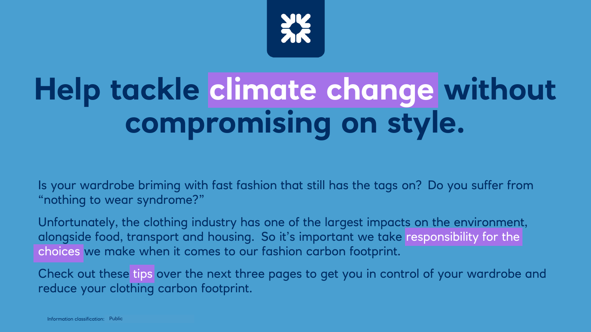

# **Help tackle climate change without compromising on style.**

Is your wardrobe briming with fast fashion that still has the tags on? Do you suffer from "nothing to wear syndrome?"

Unfortunately, the clothing industry has one of the largest impacts on the environment, alongside food, transport and housing. So it's important we take responsibility for the choices we make when it comes to our fashion carbon footprint.

Check out these tips over the next three pages to get you in control of your wardrobe and reduce your clothing carbon footprint.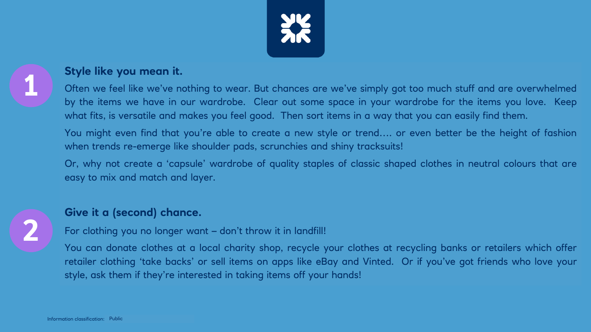

## **Style like you mean it.**

Often we feel like we've nothing to wear. But chances are we've simply got too much stuff and are overwhelmed by the items we have in our wardrobe. Clear out some space in your wardrobe for the items you love. Keep what fits, is versatile and makes you feel good. Then sort items in a way that you can easily find them.

You might even find that you're able to create a new style or trend…. or even better be the height of fashion when trends re-emerge like shoulder pads, scrunchies and shiny tracksuits!

Or, why not create a 'capsule' wardrobe of quality staples of classic shaped clothes in neutral colours that are easy to mix and match and layer.



### **Give it a (second) chance.**

For clothing you no longer want – don't throw it in landfill!

You can donate clothes at a local charity shop, recycle your clothes at recycling banks or retailers which offer retailer clothing 'take backs' or sell items on apps like eBay and Vinted. Or if you've got friends who love your style, ask them if they're interested in taking items off your hands!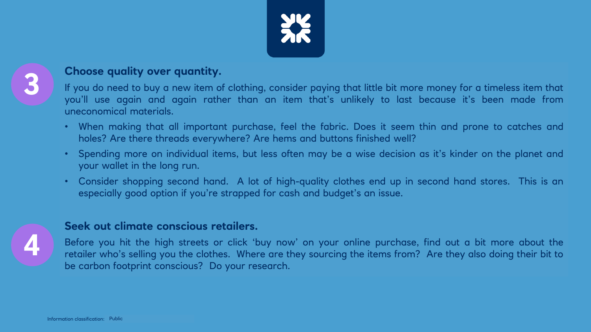

## **Choose quality over quantity.**

If you do need to buy a new item of clothing, consider paying that little bit more money for a timeless item that you'll use again and again rather than an item that's unlikely to last because it's been made from uneconomical materials.

- When making that all important purchase, feel the fabric. Does it seem thin and prone to catches and holes? Are there threads everywhere? Are hems and buttons finished well?
- Spending more on individual items, but less often may be a wise decision as it's kinder on the planet and your wallet in the long run.
- Consider shopping second hand. A lot of high-quality clothes end up in second hand stores. This is an especially good option if you're strapped for cash and budget's an issue.



#### **Seek out climate conscious retailers.**

Before you hit the high streets or click 'buy now' on your online purchase, find out a bit more about the retailer who's selling you the clothes. Where are they sourcing the items from? Are they also doing their bit to be carbon footprint conscious? Do your research.